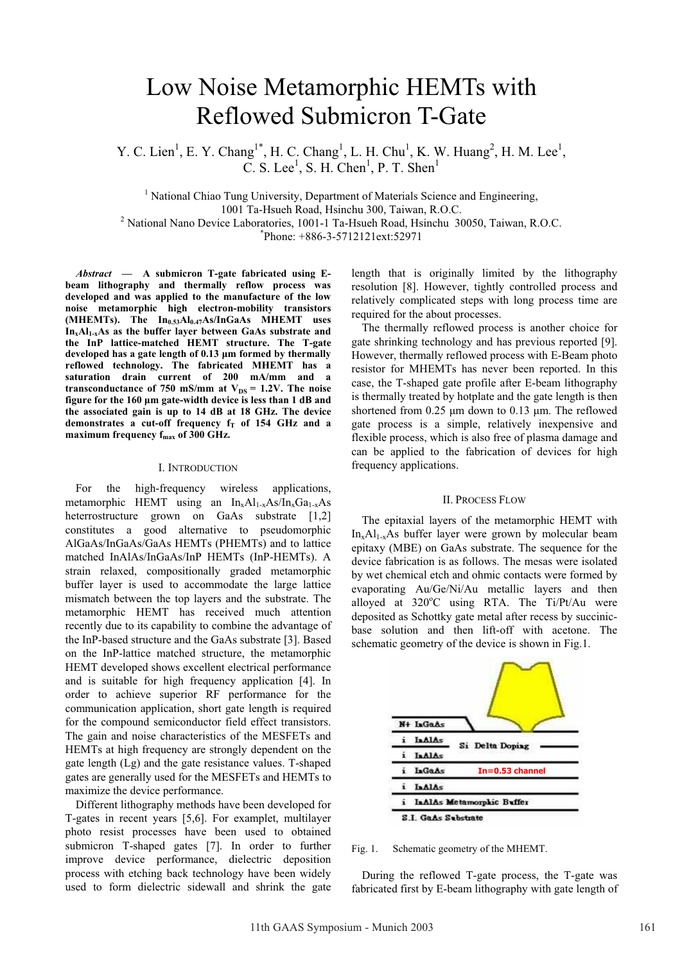# Low Noise Metamorphic HEMTs with Reflowed Submicron T-Gate

Y. C. Lien<sup>1</sup>, E. Y. Chang<sup>1\*</sup>, H. C. Chang<sup>1</sup>, L. H. Chu<sup>1</sup>, K. W. Huang<sup>2</sup>, H. M. Lee<sup>1</sup>, C. S. Lee<sup>1</sup>, S. H. Chen<sup>1</sup>, P. T. Shen<sup>1</sup>

<sup>1</sup> National Chiao Tung University, Department of Materials Science and Engineering, 1001 Ta-Hsueh Road, Hsinchu 300, Taiwan, R.O.C.<br><sup>2</sup> National Nano Davice Laboratories, 1001 1 To Hsueh Road, Hsinchu, 30<sup>2</sup> National Nano Device Laboratories, 1001-1 Ta-Hsueh Road, Hsinchu 30050, Taiwan, R.O.C. \* Phone: +886-3-5712121ext:52971

*Abstract* **— A submicron T-gate fabricated using Ebeam lithography and thermally reflow process was developed and was applied to the manufacture of the low noise metamorphic high electron-mobility transistors**  (MHEMTs). The In<sub>0.53</sub>Al<sub>0.47</sub>As/InGaAs MHEMT uses **InxAl1-xAs as the buffer layer between GaAs substrate and the InP lattice-matched HEMT structure. The T-gate developed has a gate length of 0.13 µm formed by thermally reflowed technology. The fabricated MHEMT has a saturation drain current of 200 mA/mm and a**  transconductance of 750 mS/mm at  $V_{DS} = 1.2V$ . The noise **figure for the 160 µm gate-width device is less than 1 dB and the associated gain is up to 14 dB at 18 GHz. The device**  demonstrates a cut-off frequency  $f_T$  of 154 GHz and a maximum frequency f<sub>max</sub> of 300 GHz.

## I. INTRODUCTION

For the high-frequency wireless applications, metamorphic HEMT using an  $In_xAl_{1-x}As/In_xGa_{1-x}As$ heterrostructure grown on GaAs substrate [1,2] constitutes a good alternative to pseudomorphic AlGaAs/InGaAs/GaAs HEMTs (PHEMTs) and to lattice matched InAlAs/InGaAs/InP HEMTs (InP-HEMTs). A strain relaxed, compositionally graded metamorphic buffer layer is used to accommodate the large lattice mismatch between the top layers and the substrate. The metamorphic HEMT has received much attention recently due to its capability to combine the advantage of the InP-based structure and the GaAs substrate [3]. Based on the InP-lattice matched structure, the metamorphic HEMT developed shows excellent electrical performance and is suitable for high frequency application [4]. In order to achieve superior RF performance for the communication application, short gate length is required for the compound semiconductor field effect transistors. The gain and noise characteristics of the MESFETs and HEMTs at high frequency are strongly dependent on the gate length (Lg) and the gate resistance values. T-shaped gates are generally used for the MESFETs and HEMTs to maximize the device performance.

Different lithography methods have been developed for T-gates in recent years [5,6]. For examplet, multilayer photo resist processes have been used to obtained submicron T-shaped gates [7]. In order to further improve device performance, dielectric deposition process with etching back technology have been widely used to form dielectric sidewall and shrink the gate

length that is originally limited by the lithography resolution [8]. However, tightly controlled process and relatively complicated steps with long process time are required for the about processes.

The thermally reflowed process is another choice for gate shrinking technology and has previous reported [9]. However, thermally reflowed process with E-Beam photo resistor for MHEMTs has never been reported. In this case, the T-shaped gate profile after E-beam lithography is thermally treated by hotplate and the gate length is then shortened from 0.25  $\mu$ m down to 0.13  $\mu$ m. The reflowed gate process is a simple, relatively inexpensive and flexible process, which is also free of plasma damage and can be applied to the fabrication of devices for high frequency applications.

### II. PROCESS FLOW

The epitaxial layers of the metamorphic HEMT with  $In_xAl_{1-x}As$  buffer layer were grown by molecular beam epitaxy (MBE) on GaAs substrate. The sequence for the device fabrication is as follows. The mesas were isolated by wet chemical etch and ohmic contacts were formed by evaporating Au/Ge/Ni/Au metallic layers and then alloyed at  $320^{\circ}$ C using RTA. The Ti/Pt/Au were deposited as Schottky gate metal after recess by succinicbase solution and then lift-off with acetone. The schematic geometry of the device is shown in Fig.1.



Fig. 1. Schematic geometry of the MHEMT.

During the reflowed T-gate process, the T-gate was fabricated first by E-beam lithography with gate length of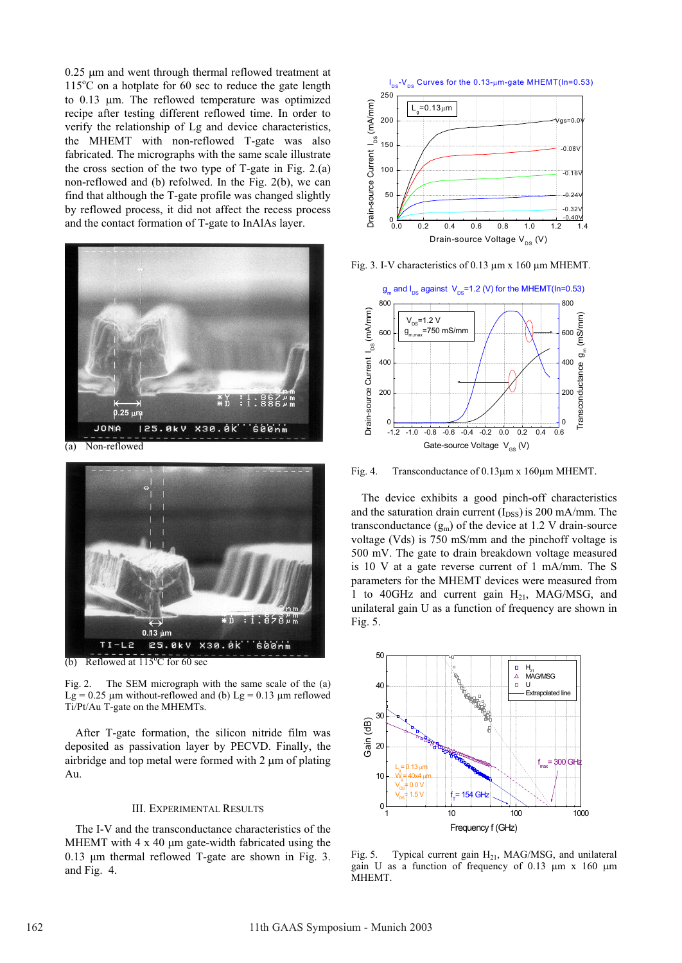$0.25$  µm and went through thermal reflowed treatment at 115°C on a hotplate for 60 sec to reduce the gate length to 0.13 um. The reflowed temperature was optimized recipe after testing different reflowed time. In order to verify the relationship of Lg and device characteristics, the MHEMT with non-reflowed T-gate was also fabricated. The micrographs with the same scale illustrate the cross section of the two type of T-gate in Fig. 2.(a) non-reflowed and (b) refolwed. In the Fig. 2(b), we can find that although the T-gate profile was changed slightly by reflowed process, it did not affect the recess process and the contact formation of T-gate to InAlAs layer.



(a) Non-reflowed



(b) Reflowed at  $115^{\circ}$ C for 60 sec

Fig. 2. The SEM micrograph with the same scale of the (a) Lg =  $0.25 \mu$ m without-reflowed and (b) Lg =  $0.13 \mu$ m reflowed Ti/Pt/Au T-gate on the MHEMTs.

After T-gate formation, the silicon nitride film was deposited as passivation layer by PECVD. Finally, the airbridge and top metal were formed with  $2 \mu m$  of plating Au.

# III. EXPERIMENTAL RESULTS

The I-V and the transconductance characteristics of the MHEMT with  $4 \times 40$  µm gate-width fabricated using the 0.13 µm thermal reflowed T-gate are shown in Fig. 3. and Fig. 4.



Fig. 3. I-V characteristics of 0.13  $\mu$ m x 160  $\mu$ m MHEMT.



Fig. 4. Transconductance of  $0.13 \mu m \times 160 \mu m$  MHEMT.

The device exhibits a good pinch-off characteristics and the saturation drain current  $(I_{DSS})$  is 200 mA/mm. The transconductance  $(g_m)$  of the device at 1.2 V drain-source voltage (Vds) is 750 mS/mm and the pinchoff voltage is 500 mV. The gate to drain breakdown voltage measured is 10 V at a gate reverse current of 1 mA/mm. The S parameters for the MHEMT devices were measured from 1 to 40GHz and current gain  $H_{21}$ , MAG/MSG, and unilateral gain U as a function of frequency are shown in Fig. 5.



Fig. 5. Typical current gain  $H_{21}$ , MAG/MSG, and unilateral gain U as a function of frequency of 0.13  $\mu$ m x 160  $\mu$ m MHEMT.